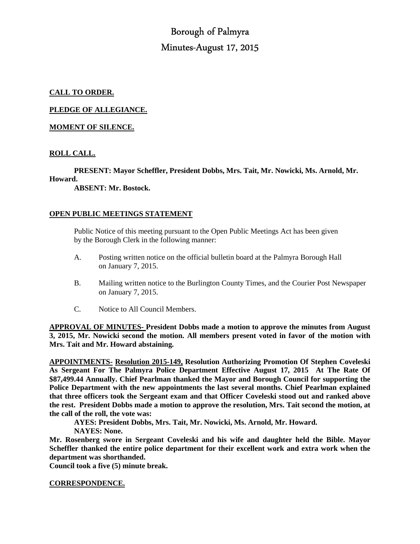# Borough of Palmyra Minutes-August 17, 2015

# **CALL TO ORDER.**

**PLEDGE OF ALLEGIANCE.** 

## **MOMENT OF SILENCE.**

## **ROLL CALL.**

 **PRESENT: Mayor Scheffler, President Dobbs, Mrs. Tait, Mr. Nowicki, Ms. Arnold, Mr.** 

#### **Howard.**

 **ABSENT: Mr. Bostock.** 

#### **OPEN PUBLIC MEETINGS STATEMENT**

 Public Notice of this meeting pursuant to the Open Public Meetings Act has been given by the Borough Clerk in the following manner:

- A. Posting written notice on the official bulletin board at the Palmyra Borough Hall on January 7, 2015.
- B. Mailing written notice to the Burlington County Times, and the Courier Post Newspaper on January 7, 2015.
- C. Notice to All Council Members.

**APPROVAL OF MINUTES- President Dobbs made a motion to approve the minutes from August 3, 2015, Mr. Nowicki second the motion. All members present voted in favor of the motion with Mrs. Tait and Mr. Howard abstaining.** 

**APPOINTMENTS- Resolution 2015-149, Resolution Authorizing Promotion Of Stephen Coveleski As Sergeant For The Palmyra Police Department Effective August 17, 2015 At The Rate Of \$87,499.44 Annually. Chief Pearlman thanked the Mayor and Borough Council for supporting the Police Department with the new appointments the last several months. Chief Pearlman explained that three officers took the Sergeant exam and that Officer Coveleski stood out and ranked above the rest. President Dobbs made a motion to approve the resolution, Mrs. Tait second the motion, at the call of the roll, the vote was:** 

**AYES: President Dobbs, Mrs. Tait, Mr. Nowicki, Ms. Arnold, Mr. Howard.** 

**NAYES: None.** 

**Mr. Rosenberg swore in Sergeant Coveleski and his wife and daughter held the Bible. Mayor Scheffler thanked the entire police department for their excellent work and extra work when the department was shorthanded.** 

**Council took a five (5) minute break.** 

**CORRESPONDENCE.**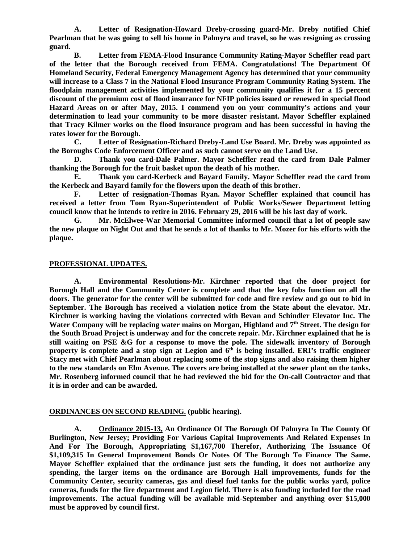**A. Letter of Resignation-Howard Dreby-crossing guard-Mr. Dreby notified Chief Pearlman that he was going to sell his home in Palmyra and travel, so he was resigning as crossing guard.** 

 **B. Letter from FEMA-Flood Insurance Community Rating-Mayor Scheffler read part of the letter that the Borough received from FEMA. Congratulations! The Department Of Homeland Security, Federal Emergency Management Agency has determined that your community will increase to a Class 7 in the National Flood Insurance Program Community Rating System. The floodplain management activities implemented by your community qualifies it for a 15 percent discount of the premium cost of flood insurance for NFIP policies issued or renewed in special flood Hazard Areas on or after May, 2015. I commend you on your community's actions and your determination to lead your community to be more disaster resistant. Mayor Scheffler explained that Tracy Kilmer works on the flood insurance program and has been successful in having the rates lower for the Borough.** 

 **C. Letter of Resignation-Richard Dreby-Land Use Board. Mr. Dreby was appointed as the Boroughs Code Enforcement Officer and as such cannot serve on the Land Use.** 

 **D. Thank you card-Dale Palmer. Mayor Scheffler read the card from Dale Palmer thanking the Borough for the fruit basket upon the death of his mother.** 

 **E. Thank you card-Kerbeck and Bayard Family. Mayor Scheffler read the card from the Kerbeck and Bayard family for the flowers upon the death of this brother.** 

 **F. Letter of resignation-Thomas Ryan. Mayor Scheffler explained that council has received a letter from Tom Ryan-Superintendent of Public Works/Sewer Department letting council know that he intends to retire in 2016. February 29, 2016 will be his last day of work.** 

 **G. Mr. McElwee-War Memorial Committee informed council that a lot of people saw the new plaque on Night Out and that he sends a lot of thanks to Mr. Mozer for his efforts with the plaque.** 

#### **PROFESSIONAL UPDATES.**

 **A. Environmental Resolutions-Mr. Kirchner reported that the door project for Borough Hall and the Community Center is complete and that the key fobs function on all the doors. The generator for the center will be submitted for code and fire review and go out to bid in September. The Borough has received a violation notice from the State about the elevator. Mr. Kirchner is working having the violations corrected with Bevan and Schindler Elevator Inc. The Water Company will be replacing water mains on Morgan, Highland and 7th Street. The design for the South Broad Project is underway and for the concrete repair. Mr. Kirchner explained that he is still waiting on PSE &G for a response to move the pole. The sidewalk inventory of Borough property is complete and a stop sign at Legion and 6 th is being installed. ERI's traffic engineer Stacy met with Chief Pearlman about replacing some of the stop signs and also raising them higher to the new standards on Elm Avenue. The covers are being installed at the sewer plant on the tanks. Mr. Rosenberg informed council that he had reviewed the bid for the On-call Contractor and that it is in order and can be awarded.** 

## **ORDINANCES ON SECOND READING. (public hearing).**

 **A. Ordinance 2015-13, An Ordinance Of The Borough Of Palmyra In The County Of Burlington, New Jersey; Providing For Various Capital Improvements And Related Expenses In And For The Borough, Appropriating \$1,167,700 Therefor, Authorizing The Issuance Of \$1,109,315 In General Improvement Bonds Or Notes Of The Borough To Finance The Same. Mayor Scheffler explained that the ordinance just sets the funding, it does not authorize any spending, the larger items on the ordinance are Borough Hall improvements, funds for the Community Center, security cameras, gas and diesel fuel tanks for the public works yard, police cameras, funds for the fire department and Legion field. There is also funding included for the road improvements. The actual funding will be available mid-September and anything over \$15,000 must be approved by council first.**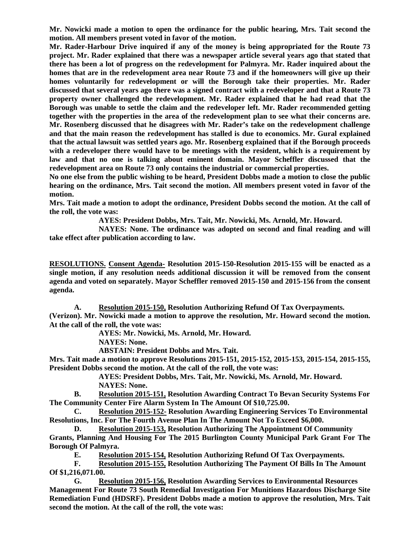**Mr. Nowicki made a motion to open the ordinance for the public hearing, Mrs. Tait second the motion. All members present voted in favor of the motion.** 

**Mr. Rader-Harbour Drive inquired if any of the money is being appropriated for the Route 73 project. Mr. Rader explained that there was a newspaper article several years ago that stated that there has been a lot of progress on the redevelopment for Palmyra. Mr. Rader inquired about the homes that are in the redevelopment area near Route 73 and if the homeowners will give up their homes voluntarily for redevelopment or will the Borough take their properties. Mr. Rader discussed that several years ago there was a signed contract with a redeveloper and that a Route 73 property owner challenged the redevelopment. Mr. Rader explained that he had read that the Borough was unable to settle the claim and the redeveloper left. Mr. Rader recommended getting together with the properties in the area of the redevelopment plan to see what their concerns are. Mr. Rosenberg discussed that he disagrees with Mr. Rader's take on the redevelopment challenge and that the main reason the redevelopment has stalled is due to economics. Mr. Gural explained that the actual lawsuit was settled years ago. Mr. Rosenberg explained that if the Borough proceeds with a redeveloper there would have to be meetings with the resident, which is a requirement by law and that no one is talking about eminent domain. Mayor Scheffler discussed that the redevelopment area on Route 73 only contains the industrial or commercial properties.** 

**No one else from the public wishing to be heard, President Dobbs made a motion to close the public hearing on the ordinance, Mrs. Tait second the motion. All members present voted in favor of the motion.** 

**Mrs. Tait made a motion to adopt the ordinance, President Dobbs second the motion. At the call of the roll, the vote was:** 

 **AYES: President Dobbs, Mrs. Tait, Mr. Nowicki, Ms. Arnold, Mr. Howard.** 

 **NAYES: None. The ordinance was adopted on second and final reading and will take effect after publication according to law.** 

**RESOLUTIONS. Consent Agenda- Resolution 2015-150-Resolution 2015-155 will be enacted as a single motion, if any resolution needs additional discussion it will be removed from the consent agenda and voted on separately. Mayor Scheffler removed 2015-150 and 2015-156 from the consent agenda.** 

**A. Resolution 2015-150, Resolution Authorizing Refund Of Tax Overpayments.** 

**(Verizon). Mr. Nowicki made a motion to approve the resolution, Mr. Howard second the motion. At the call of the roll, the vote was:** 

 **AYES: Mr. Nowicki, Ms. Arnold, Mr. Howard.** 

 **NAYES: None.** 

 **ABSTAIN: President Dobbs and Mrs. Tait.** 

**Mrs. Tait made a motion to approve Resolutions 2015-151, 2015-152, 2015-153, 2015-154, 2015-155, President Dobbs second the motion. At the call of the roll, the vote was:** 

> **AYES: President Dobbs, Mrs. Tait, Mr. Nowicki, Ms. Arnold, Mr. Howard. NAYES: None.**

**B. Resolution 2015-151, Resolution Awarding Contract To Bevan Security Systems For The Community Center Fire Alarm System In The Amount Of \$10,725.00.** 

**C. Resolution 2015-152- Resolution Awarding Engineering Services To Environmental Resolutions, Inc. For The Fourth Avenue Plan In The Amount Not To Exceed \$6,000.** 

**D. Resolution 2015-153, Resolution Authorizing The Appointment Of Community Grants, Planning And Housing For The 2015 Burlington County Municipal Park Grant For The Borough Of Palmyra.** 

**E. Resolution 2015-154, Resolution Authorizing Refund Of Tax Overpayments.** 

**F. Resolution 2015-155, Resolution Authorizing The Payment Of Bills In The Amount Of \$1,216,071.00.** 

**G. Resolution 2015-156, Resolution Awarding Services to Environmental Resources Management For Route 73 South Remedial Investigation For Munitions Hazardous Discharge Site Remediation Fund (HDSRF). President Dobbs made a motion to approve the resolution, Mrs. Tait second the motion. At the call of the roll, the vote was:**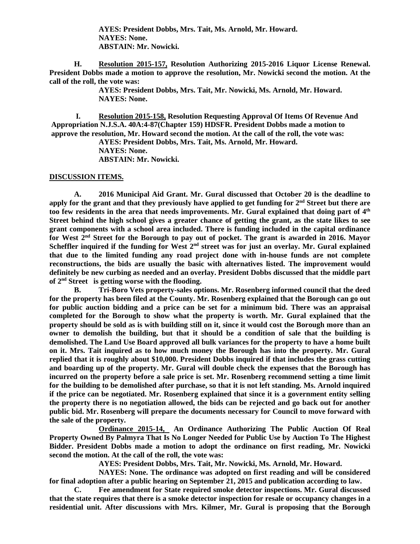**AYES: President Dobbs, Mrs. Tait, Ms. Arnold, Mr. Howard. NAYES: None. ABSTAIN: Mr. Nowicki.** 

 **H. Resolution 2015-157, Resolution Authorizing 2015-2016 Liquor License Renewal. President Dobbs made a motion to approve the resolution, Mr. Nowicki second the motion. At the call of the roll, the vote was:** 

> **AYES: President Dobbs, Mrs. Tait, Mr. Nowicki, Ms. Arnold, Mr. Howard. NAYES: None.**

 **I. Resolution 2015-158, Resolution Requesting Approval Of Items Of Revenue And Appropriation N.J.S.A. 40A:4-87(Chapter 159) HDSFR. President Dobbs made a motion to approve the resolution, Mr. Howard second the motion. At the call of the roll, the vote was:** 

**AYES: President Dobbs, Mrs. Tait, Ms. Arnold, Mr. Howard. NAYES: None. ABSTAIN: Mr. Nowicki.** 

#### **DISCUSSION ITEMS.**

 **A. 2016 Municipal Aid Grant. Mr. Gural discussed that October 20 is the deadline to apply for the grant and that they previously have applied to get funding for 2nd Street but there are too few residents in the area that needs improvements. Mr. Gural explained that doing part of 4th Street behind the high school gives a greater chance of getting the grant, as the state likes to see grant components with a school area included. There is funding included in the capital ordinance for West 2nd Street for the Borough to pay out of pocket. The grant is awarded in 2016. Mayor Scheffler inquired if the funding for West 2nd street was for just an overlay. Mr. Gural explained that due to the limited funding any road project done with in-house funds are not complete reconstructions, the bids are usually the basic with alternatives listed. The improvement would definitely be new curbing as needed and an overlay. President Dobbs discussed that the middle part of 2nd Street is getting worse with the flooding.** 

 **B. Tri-Boro Vets property-sales options. Mr. Rosenberg informed council that the deed for the property has been filed at the County. Mr. Rosenberg explained that the Borough can go out for public auction bidding and a price can be set for a minimum bid. There was an appraisal completed for the Borough to show what the property is worth. Mr. Gural explained that the property should be sold as is with building still on it, since it would cost the Borough more than an owner to demolish the building, but that it should be a condition of sale that the building is demolished. The Land Use Board approved all bulk variances for the property to have a home built on it. Mrs. Tait inquired as to how much money the Borough has into the property. Mr. Gural replied that it is roughly about \$10,000. President Dobbs inquired if that includes the grass cutting and boarding up of the property. Mr. Gural will double check the expenses that the Borough has incurred on the property before a sale price is set. Mr. Rosenberg recommend setting a time limit for the building to be demolished after purchase, so that it is not left standing. Ms. Arnold inquired if the price can be negotiated. Mr. Rosenberg explained that since it is a government entity selling the property there is no negotiation allowed, the bids can be rejected and go back out for another public bid. Mr. Rosenberg will prepare the documents necessary for Council to move forward with the sale of the property.** 

 **Ordinance 2015-14, An Ordinance Authorizing The Public Auction Of Real Property Owned By Palmyra That Is No Longer Needed for Public Use by Auction To The Highest Bidder. President Dobbs made a motion to adopt the ordinance on first reading, Mr. Nowicki second the motion. At the call of the roll, the vote was:** 

 **AYES: President Dobbs, Mrs. Tait, Mr. Nowicki, Ms. Arnold, Mr. Howard.** 

 **NAYES: None. The ordinance was adopted on first reading and will be considered for final adoption after a public hearing on September 21, 2015 and publication according to law.** 

 **C. Fee amendment for State required smoke detector inspections. Mr. Gural discussed that the state requires that there is a smoke detector inspection for resale or occupancy changes in a residential unit. After discussions with Mrs. Kilmer, Mr. Gural is proposing that the Borough**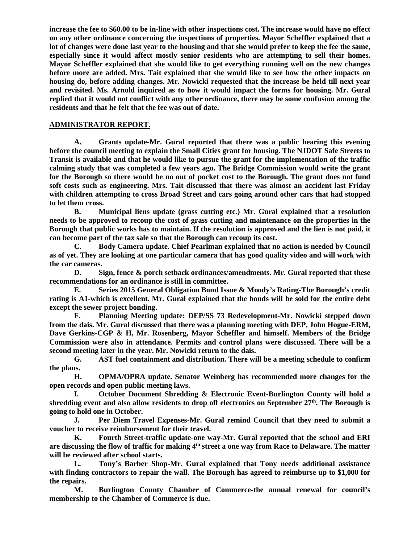**increase the fee to \$60.00 to be in-line with other inspections cost. The increase would have no effect on any other ordinance concerning the inspections of properties. Mayor Scheffler explained that a lot of changes were done last year to the housing and that she would prefer to keep the fee the same, especially since it would affect mostly senior residents who are attempting to sell their homes. Mayor Scheffler explained that she would like to get everything running well on the new changes before more are added. Mrs. Tait explained that she would like to see how the other impacts on housing do, before adding changes. Mr. Nowicki requested that the increase be held till next year and revisited. Ms. Arnold inquired as to how it would impact the forms for housing. Mr. Gural replied that it would not conflict with any other ordinance, there may be some confusion among the residents and that he felt that the fee was out of date.** 

## **ADMINISTRATOR REPORT.**

 **A. Grants update-Mr. Gural reported that there was a public hearing this evening before the council meeting to explain the Small Cities grant for housing. The NJDOT Safe Streets to Transit is available and that he would like to pursue the grant for the implementation of the traffic calming study that was completed a few years ago. The Bridge Commission would write the grant for the Borough so there would be no out of pocket cost to the Borough. The grant does not fund soft costs such as engineering. Mrs. Tait discussed that there was almost an accident last Friday with children attempting to cross Broad Street and cars going around other cars that had stopped to let them cross.** 

 **B. Municipal liens update (grass cutting etc.) Mr. Gural explained that a resolution needs to be approved to recoup the cost of grass cutting and maintenance on the properties in the Borough that public works has to maintain. If the resolution is approved and the lien is not paid, it can become part of the tax sale so that the Borough can recoup its cost.** 

 **C. Body Camera update. Chief Pearlman explained that no action is needed by Council as of yet. They are looking at one particular camera that has good quality video and will work with the car cameras.** 

 **D. Sign, fence & porch setback ordinances/amendments. Mr. Gural reported that these recommendations for an ordinance is still in committee.** 

 **E. Series 2015 General Obligation Bond Issue & Moody's Rating-The Borough's credit rating is A1-which is excellent. Mr. Gural explained that the bonds will be sold for the entire debt except the sewer project bonding.** 

 **F. Planning Meeting update: DEP/SS 73 Redevelopment-Mr. Nowicki stepped down from the dais. Mr. Gural discussed that there was a planning meeting with DEP, John Hogue-ERM, Dave Gerkins-CGP & H, Mr. Rosenberg, Mayor Scheffler and himself. Members of the Bridge Commission were also in attendance. Permits and control plans were discussed. There will be a second meeting later in the year. Mr. Nowicki return to the dais.** 

 **G. AST fuel containment and distribution. There will be a meeting schedule to confirm the plans.** 

 **H. OPMA/OPRA update. Senator Weinberg has recommended more changes for the open records and open public meeting laws.** 

 **I. October Document Shredding & Electronic Event-Burlington County will hold a shredding event and also allow residents to drop off electronics on September 27th. The Borough is going to hold one in October.** 

 **J. Per Diem Travel Expenses-Mr. Gural remind Council that they need to submit a voucher to receive reimbursement for their travel.** 

 **K. Fourth Street-traffic update-one way-Mr. Gural reported that the school and ERI are discussing the flow of traffic for making 4th street a one way from Race to Delaware. The matter will be reviewed after school starts.** 

 **L. Tony's Barber Shop-Mr. Gural explained that Tony needs additional assistance with finding contractors to repair the wall. The Borough has agreed to reimburse up to \$1,000 for the repairs.** 

 **M. Burlington County Chamber of Commerce-the annual renewal for council's membership to the Chamber of Commerce is due.**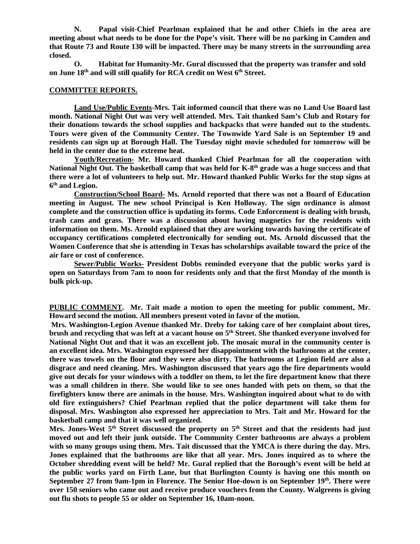**N. Papal visit-Chief Pearlman explained that he and other Chiefs in the area are meeting about what needs to be done for the Pope's visit. There will be no parking in Camden and that Route 73 and Route 130 will be impacted. There may be many streets in the surrounding area closed.** 

 **O. Habitat for Humanity-Mr. Gural discussed that the property was transfer and sold on June 18th and will still qualify for RCA credit on West 6th Street.** 

#### **COMMITTEE REPORTS.**

 **Land Use/Public Events-Mrs. Tait informed council that there was no Land Use Board last month. National Night Out was very well attended. Mrs. Tait thanked Sam's Club and Rotary for their donations towards the school supplies and backpacks that were handed out to the students. Tours were given of the Community Center. The Townwide Yard Sale is on September 19 and residents can sign up at Borough Hall. The Tuesday night movie scheduled for tomorrow will be held in the center due to the extreme heat.** 

 **Youth/Recreation- Mr. Howard thanked Chief Pearlman for all the cooperation with National Night Out. The basketball camp that was held for K-8th grade was a huge success and that there were a lot of volunteers to help out. Mr. Howard thanked Public Works for the stop signs at 6 th and Legion.** 

 **Construction/School Board- Ms. Arnold reported that there was not a Board of Education meeting in August. The new school Principal is Ken Holloway. The sign ordinance is almost complete and the construction office is updating its forms. Code Enforcement is dealing with brush, trash cans and grass. There was a discussion about having magnetics for the residents with information on them. Ms. Arnold explained that they are working towards having the certificate of occupancy certifications completed electronically for sending out. Ms. Arnold discussed that the Women Conference that she is attending in Texas has scholarships available toward the price of the air fare or cost of conference.** 

 **Sewer/Public Works- President Dobbs reminded everyone that the public works yard is open on Saturdays from 7am to noon for residents only and that the first Monday of the month is bulk pick-up.** 

**PUBLIC COMMENT. Mr. Tait made a motion to open the meeting for public comment, Mr. Howard second the motion. All members present voted in favor of the motion.** 

 **Mrs. Washington-Legion Avenue thanked Mr. Dreby for taking care of her complaint about tires, brush and recycling that was left at a vacant house on 5th Street. She thanked everyone involved for National Night Out and that it was an excellent job. The mosaic mural in the community center is an excellent idea. Mrs. Washington expressed her disappointment with the bathrooms at the center, there was towels on the floor and they were also dirty. The bathrooms at Legion field are also a disgrace and need cleaning. Mrs. Washington discussed that years ago the fire departments would give out decals for your windows with a toddler on them, to let the fire department know that there was a small children in there. She would like to see ones handed with pets on them, so that the firefighters know there are animals in the house. Mrs. Washington inquired about what to do with old fire extinguishers? Chief Pearlman replied that the police department will take them for disposal. Mrs. Washington also expressed her appreciation to Mrs. Tait and Mr. Howard for the basketball camp and that it was well organized.** 

**Mrs. Jones-West 5th Street discussed the property on 5th Street and that the residents had just moved out and left their junk outside. The Community Center bathrooms are always a problem with so many groups using them. Mrs. Tait discussed that the YMCA is there during the day. Mrs. Jones explained that the bathrooms are like that all year. Mrs. Jones inquired as to where the October shredding event will be held? Mr. Gural replied that the Borough's event will be held at the public works yard on Firth Lane, but that Burlington County is having one this month on September 27 from 9am-1pm in Florence. The Senior Hoe-down is on September 19th. There were over 150 seniors who came out and receive produce vouchers from the County. Walgreens is giving out flu shots to people 55 or older on September 16, 10am-noon.**